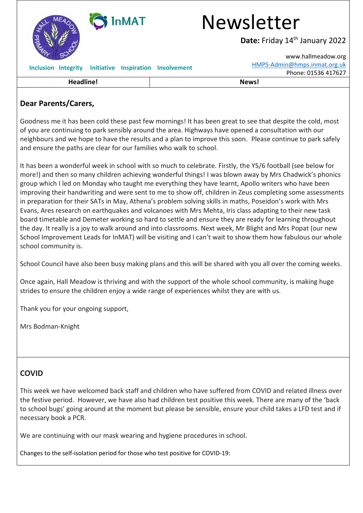| <b>InMAT</b>                                              | <b>Newsletter</b><br>Date: Friday 14th January 2022                                   |
|-----------------------------------------------------------|---------------------------------------------------------------------------------------|
| MA                                                        | www.hallmeadow.org                                                                    |
| <b>Integrity</b><br><b>Initiative</b><br><b>Inclusion</b> | HMPS-Admin@hmps.inmat.org.uk<br><b>Inspiration Involvement</b><br>Phone: 01536 417627 |
| <b>Headline!</b>                                          | News!                                                                                 |

## **Dear Parents/Carers,**

Goodness me it has been cold these past few mornings! It has been great to see that despite the cold, most of you are continuing to park sensibly around the area. Highways have opened a consultation with our neighbours and we hope to have the results and a plan to improve this soon. Please continue to park safely and ensure the paths are clear for our families who walk to school.

It has been a wonderful week in school with so much to celebrate. Firstly, the Y5/6 football (see below for more!) and then so many children achieving wonderful things! I was blown away by Mrs Chadwick's phonics group which I led on Monday who taught me everything they have learnt, Apollo writers who have been improving their handwriting and were sent to me to show off, children in Zeus completing some assessments in preparation for their SATs in May, Athena's problem solving skills in maths, Poseidon's work with Mrs Evans, Ares research on earthquakes and volcanoes with Mrs Mehta, Iris class adapting to their new task board timetable and Demeter working so hard to settle and ensure they are ready for learning throughout the day. It really is a joy to walk around and into classrooms. Next week, Mr Blight and Mrs Popat (our new School Improvement Leads for InMAT) will be visiting and I can't wait to show them how fabulous our whole school community is.

School Council have also been busy making plans and this will be shared with you all over the coming weeks.

Once again, Hall Meadow is thriving and with the support of the whole school community, is making huge strides to ensure the children enjoy a wide range of experiences whilst they are with us.

Thank you for your ongoing support,

Mrs Bodman-Knight

## **COVID**

This week we have welcomed back staff and children who have suffered from COVID and related illness over the festive period. However, we have also had children test positive this week. There are many of the 'back to school bugs' going around at the moment but please be sensible, ensure your child takes a LFD test and if necessary book a PCR.

We are continuing with our mask wearing and hygiene procedures in school.

Changes to the self-isolation period for those who test positive for COVID-19: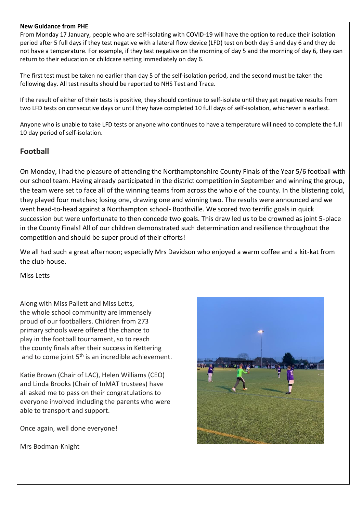## **New Guidance from PHE**

From Monday 17 January, people who are self-isolating with COVID-19 will have the option to reduce their isolation period after 5 full days if they test negative with a lateral flow device (LFD) test on both day 5 and day 6 and they do not have a temperature. For example, if they test negative on the morning of day 5 and the morning of day 6, they can return to their education or childcare setting immediately on day 6.

The first test must be taken no earlier than day 5 of the self-isolation period, and the second must be taken the following day. All test results should be reported to NHS Test and Trace.

If the result of either of their tests is positive, they should continue to self-isolate until they get negative results from two LFD tests on consecutive days or until they have completed 10 full days of self-isolation, whichever is earliest.

Anyone who is unable to take LFD tests or anyone who continues to have a temperature will need to complete the full 10 day period of self-isolation.

## **Football**

On Monday, I had the pleasure of attending the Northamptonshire County Finals of the Year 5/6 football with our school team. Having already participated in the district competition in September and winning the group, the team were set to face all of the winning teams from across the whole of the county. In the blistering cold, they played four matches; losing one, drawing one and winning two. The results were announced and we went head-to-head against a Northampton school- Boothville. We scored two terrific goals in quick succession but were unfortunate to then concede two goals. This draw led us to be crowned as joint 5-place in the County Finals! All of our children demonstrated such determination and resilience throughout the competition and should be super proud of their efforts!

We all had such a great afternoon; especially Mrs Davidson who enjoyed a warm coffee and a kit-kat from the club-house.

Miss Letts

Along with Miss Pallett and Miss Letts, the whole school community are immensely proud of our footballers. Children from 273 primary schools were offered the chance to play in the football tournament, so to reach the county finals after their success in Kettering and to come joint  $5<sup>th</sup>$  is an incredible achievement.

Katie Brown (Chair of LAC), Helen Williams (CEO) and Linda Brooks (Chair of InMAT trustees) have all asked me to pass on their congratulations to everyone involved including the parents who were able to transport and support.

Once again, well done everyone!

Mrs Bodman-Knight

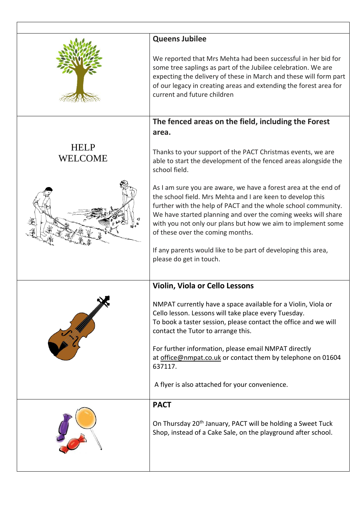|                               | <b>Queens Jubilee</b><br>We reported that Mrs Mehta had been successful in her bid for<br>some tree saplings as part of the Jubilee celebration. We are<br>expecting the delivery of these in March and these will form part<br>of our legacy in creating areas and extending the forest area for<br>current and future children                                                                                                                                                                                                                                                                                                                                                   |
|-------------------------------|------------------------------------------------------------------------------------------------------------------------------------------------------------------------------------------------------------------------------------------------------------------------------------------------------------------------------------------------------------------------------------------------------------------------------------------------------------------------------------------------------------------------------------------------------------------------------------------------------------------------------------------------------------------------------------|
| <b>HELP</b><br><b>WELCOME</b> | The fenced areas on the field, including the Forest<br>area.<br>Thanks to your support of the PACT Christmas events, we are<br>able to start the development of the fenced areas alongside the<br>school field.<br>As I am sure you are aware, we have a forest area at the end of<br>the school field. Mrs Mehta and I are keen to develop this<br>further with the help of PACT and the whole school community.<br>We have started planning and over the coming weeks will share<br>with you not only our plans but how we aim to implement some<br>of these over the coming months.<br>If any parents would like to be part of developing this area,<br>please do get in touch. |
|                               | <b>Violin, Viola or Cello Lessons</b><br>NMPAT currently have a space available for a Violin, Viola or<br>Cello lesson. Lessons will take place every Tuesday.<br>To book a taster session, please contact the office and we will<br>contact the Tutor to arrange this.<br>For further information, please email NMPAT directly<br>at office@nmpat.co.uk or contact them by telephone on 01604<br>637117.<br>A flyer is also attached for your convenience.                                                                                                                                                                                                                        |
|                               | <b>PACT</b><br>On Thursday 20 <sup>th</sup> January, PACT will be holding a Sweet Tuck<br>Shop, instead of a Cake Sale, on the playground after school.                                                                                                                                                                                                                                                                                                                                                                                                                                                                                                                            |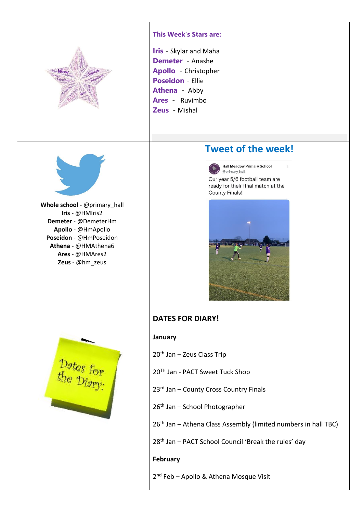